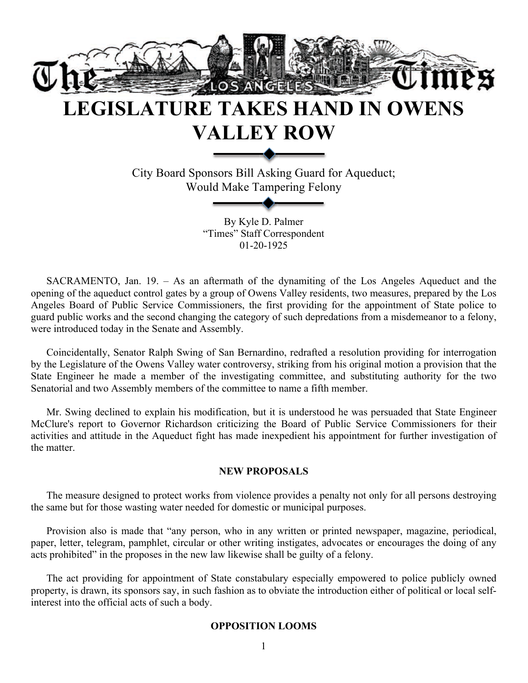

# **LEGISLATURE TAKES HAND IN OWENS VALLEY ROW**

City Board Sponsors Bill Asking Guard for Aqueduct; Would Make Tampering Felony

> By Kyle D. Palmer "Times" Staff Correspondent 01-20-1925

SACRAMENTO, Jan. 19. – As an aftermath of the dynamiting of the Los Angeles Aqueduct and the opening of the aqueduct control gates by a group of Owens Valley residents, two measures, prepared by the Los Angeles Board of Public Service Commissioners, the first providing for the appointment of State police to guard public works and the second changing the category of such depredations from a misdemeanor to a felony, were introduced today in the Senate and Assembly.

Coincidentally, Senator Ralph Swing of San Bernardino, redrafted a resolution providing for interrogation by the Legislature of the Owens Valley water controversy, striking from his original motion a provision that the State Engineer he made a member of the investigating committee, and substituting authority for the two Senatorial and two Assembly members of the committee to name a fifth member.

Mr. Swing declined to explain his modification, but it is understood he was persuaded that State Engineer McClure's report to Governor Richardson criticizing the Board of Public Service Commissioners for their activities and attitude in the Aqueduct fight has made inexpedient his appointment for further investigation of the matter.

## **NEW PROPOSALS**

The measure designed to protect works from violence provides a penalty not only for all persons destroying the same but for those wasting water needed for domestic or municipal purposes.

Provision also is made that "any person, who in any written or printed newspaper, magazine, periodical, paper, letter, telegram, pamphlet, circular or other writing instigates, advocates or encourages the doing of any acts prohibited" in the proposes in the new law likewise shall be guilty of a felony.

The act providing for appointment of State constabulary especially empowered to police publicly owned property, is drawn, its sponsors say, in such fashion as to obviate the introduction either of political or local selfinterest into the official acts of such a body.

## **OPPOSITION LOOMS**